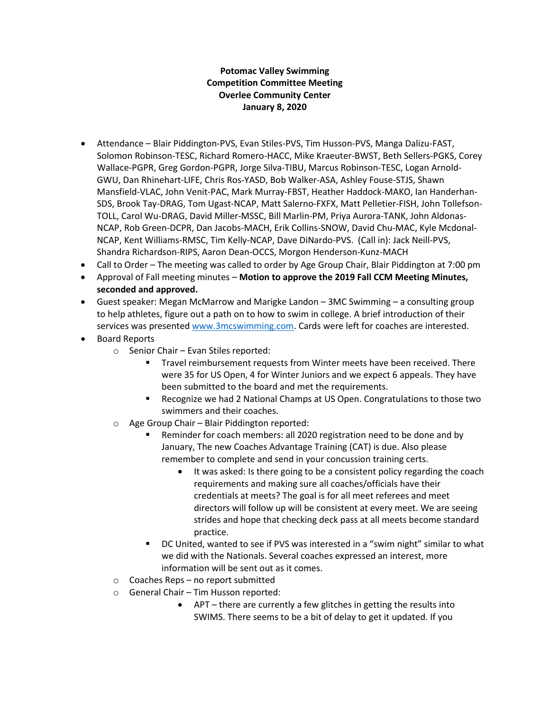## **Potomac Valley Swimming Competition Committee Meeting Overlee Community Center January 8, 2020**

- Attendance Blair Piddington-PVS, Evan Stiles-PVS, Tim Husson-PVS, Manga Dalizu-FAST, Solomon Robinson-TESC, Richard Romero-HACC, Mike Kraeuter-BWST, Beth Sellers-PGKS, Corey Wallace-PGPR, Greg Gordon-PGPR, Jorge Silva-TIBU, Marcus Robinson-TESC, Logan Arnold-GWU, Dan Rhinehart-LIFE, Chris Ros-YASD, Bob Walker-ASA, Ashley Fouse-STJS, Shawn Mansfield-VLAC, John Venit-PAC, Mark Murray-FBST, Heather Haddock-MAKO, Ian Handerhan-SDS, Brook Tay-DRAG, Tom Ugast-NCAP, Matt Salerno-FXFX, Matt Pelletier-FISH, John Tollefson-TOLL, Carol Wu-DRAG, David Miller-MSSC, Bill Marlin-PM, Priya Aurora-TANK, John Aldonas-NCAP, Rob Green-DCPR, Dan Jacobs-MACH, Erik Collins-SNOW, David Chu-MAC, Kyle Mcdonal-NCAP, Kent Williams-RMSC, Tim Kelly-NCAP, Dave DiNardo-PVS. (Call in): Jack Neill-PVS, Shandra Richardson-RIPS, Aaron Dean-OCCS, Morgon Henderson-Kunz-MACH
- Call to Order The meeting was called to order by Age Group Chair, Blair Piddington at 7:00 pm
- Approval of Fall meeting minutes **Motion to approve the 2019 Fall CCM Meeting Minutes, seconded and approved.**
- Guest speaker: Megan McMarrow and Marigke Landon 3MC Swimming a consulting group to help athletes, figure out a path on to how to swim in college. A brief introduction of their services was presented [www.3mcswimming.com.](http://www.3mcswimming.com/) Cards were left for coaches are interested.
- Board Reports
	- o Senior Chair Evan Stiles reported:
		- Travel reimbursement requests from Winter meets have been received. There were 35 for US Open, 4 for Winter Juniors and we expect 6 appeals. They have been submitted to the board and met the requirements.
		- Recognize we had 2 National Champs at US Open. Congratulations to those two swimmers and their coaches.
	- o Age Group Chair Blair Piddington reported:
		- Reminder for coach members: all 2020 registration need to be done and by January, The new Coaches Advantage Training (CAT) is due. Also please remember to complete and send in your concussion training certs.
			- It was asked: Is there going to be a consistent policy regarding the coach requirements and making sure all coaches/officials have their credentials at meets? The goal is for all meet referees and meet directors will follow up will be consistent at every meet. We are seeing strides and hope that checking deck pass at all meets become standard practice.
		- DC United, wanted to see if PVS was interested in a "swim night" similar to what we did with the Nationals. Several coaches expressed an interest, more information will be sent out as it comes.
	- o Coaches Reps no report submitted
	- o General Chair Tim Husson reported:
		- APT there are currently a few glitches in getting the results into SWIMS. There seems to be a bit of delay to get it updated. If you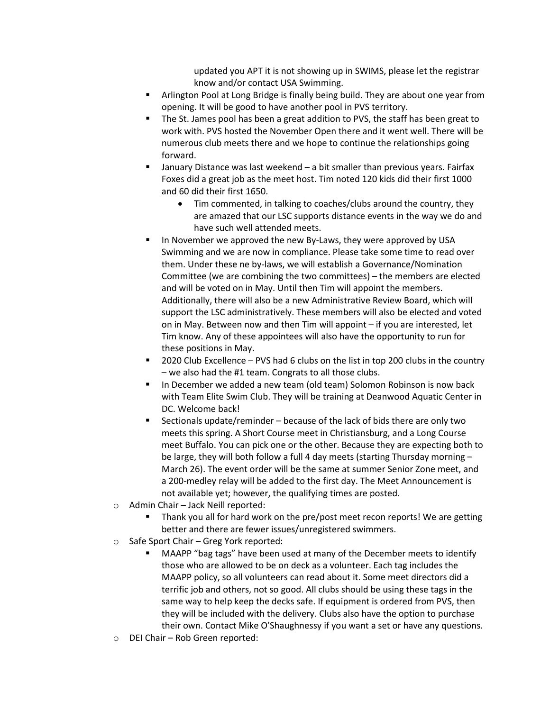updated you APT it is not showing up in SWIMS, please let the registrar know and/or contact USA Swimming.

- Arlington Pool at Long Bridge is finally being build. They are about one year from opening. It will be good to have another pool in PVS territory.
- The St. James pool has been a great addition to PVS, the staff has been great to work with. PVS hosted the November Open there and it went well. There will be numerous club meets there and we hope to continue the relationships going forward.
- January Distance was last weekend a bit smaller than previous years. Fairfax Foxes did a great job as the meet host. Tim noted 120 kids did their first 1000 and 60 did their first 1650.
	- Tim commented, in talking to coaches/clubs around the country, they are amazed that our LSC supports distance events in the way we do and have such well attended meets.
- In November we approved the new By-Laws, they were approved by USA Swimming and we are now in compliance. Please take some time to read over them. Under these ne by-laws, we will establish a Governance/Nomination Committee (we are combining the two committees) – the members are elected and will be voted on in May. Until then Tim will appoint the members. Additionally, there will also be a new Administrative Review Board, which will support the LSC administratively. These members will also be elected and voted on in May. Between now and then Tim will appoint – if you are interested, let Tim know. Any of these appointees will also have the opportunity to run for these positions in May.
- 2020 Club Excellence PVS had 6 clubs on the list in top 200 clubs in the country – we also had the #1 team. Congrats to all those clubs.
- In December we added a new team (old team) Solomon Robinson is now back with Team Elite Swim Club. They will be training at Deanwood Aquatic Center in DC. Welcome back!
- Sectionals update/reminder because of the lack of bids there are only two meets this spring. A Short Course meet in Christiansburg, and a Long Course meet Buffalo. You can pick one or the other. Because they are expecting both to be large, they will both follow a full 4 day meets (starting Thursday morning – March 26). The event order will be the same at summer Senior Zone meet, and a 200-medley relay will be added to the first day. The Meet Announcement is not available yet; however, the qualifying times are posted.
- o Admin Chair Jack Neill reported:
	- Thank you all for hard work on the pre/post meet recon reports! We are getting better and there are fewer issues/unregistered swimmers.
- o Safe Sport Chair Greg York reported:
	- MAAPP "bag tags" have been used at many of the December meets to identify those who are allowed to be on deck as a volunteer. Each tag includes the MAAPP policy, so all volunteers can read about it. Some meet directors did a terrific job and others, not so good. All clubs should be using these tags in the same way to help keep the decks safe. If equipment is ordered from PVS, then they will be included with the delivery. Clubs also have the option to purchase their own. Contact Mike O'Shaughnessy if you want a set or have any questions.
- o DEI Chair Rob Green reported: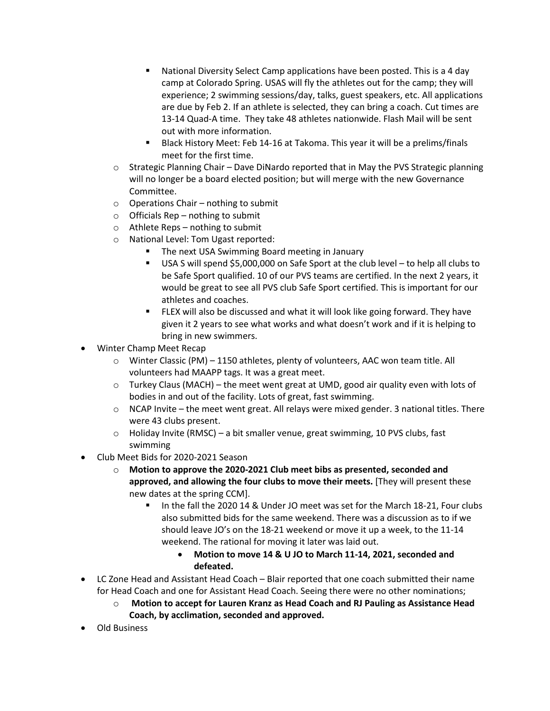- National Diversity Select Camp applications have been posted. This is a 4 day camp at Colorado Spring. USAS will fly the athletes out for the camp; they will experience; 2 swimming sessions/day, talks, guest speakers, etc. All applications are due by Feb 2. If an athlete is selected, they can bring a coach. Cut times are 13-14 Quad-A time. They take 48 athletes nationwide. Flash Mail will be sent out with more information.
- Black History Meet: Feb 14-16 at Takoma. This year it will be a prelims/finals meet for the first time.
- $\circ$  Strategic Planning Chair Dave DiNardo reported that in May the PVS Strategic planning will no longer be a board elected position; but will merge with the new Governance Committee.
- o Operations Chair nothing to submit
- $\circ$  Officials Rep nothing to submit
- o Athlete Reps nothing to submit
- o National Level: Tom Ugast reported:
	- The next USA Swimming Board meeting in January
	- USA S will spend \$5,000,000 on Safe Sport at the club level to help all clubs to be Safe Sport qualified. 10 of our PVS teams are certified. In the next 2 years, it would be great to see all PVS club Safe Sport certified. This is important for our athletes and coaches.
	- FLEX will also be discussed and what it will look like going forward. They have given it 2 years to see what works and what doesn't work and if it is helping to bring in new swimmers.
- Winter Champ Meet Recap
	- o Winter Classic (PM) 1150 athletes, plenty of volunteers, AAC won team title. All volunteers had MAAPP tags. It was a great meet.
	- $\circ$  Turkey Claus (MACH) the meet went great at UMD, good air quality even with lots of bodies in and out of the facility. Lots of great, fast swimming.
	- $\circ$  NCAP Invite the meet went great. All relays were mixed gender. 3 national titles. There were 43 clubs present.
	- o Holiday Invite (RMSC) a bit smaller venue, great swimming, 10 PVS clubs, fast swimming
- Club Meet Bids for 2020-2021 Season
	- o **Motion to approve the 2020-2021 Club meet bibs as presented, seconded and approved, and allowing the four clubs to move their meets.** [They will present these new dates at the spring CCM].
		- In the fall the 2020 14 & Under JO meet was set for the March 18-21, Four clubs also submitted bids for the same weekend. There was a discussion as to if we should leave JO's on the 18-21 weekend or move it up a week, to the 11-14 weekend. The rational for moving it later was laid out.
			- **Motion to move 14 & U JO to March 11-14, 2021, seconded and defeated.**
- LC Zone Head and Assistant Head Coach Blair reported that one coach submitted their name for Head Coach and one for Assistant Head Coach. Seeing there were no other nominations;
	- o **Motion to accept for Lauren Kranz as Head Coach and RJ Pauling as Assistance Head Coach, by acclimation, seconded and approved.**
- Old Business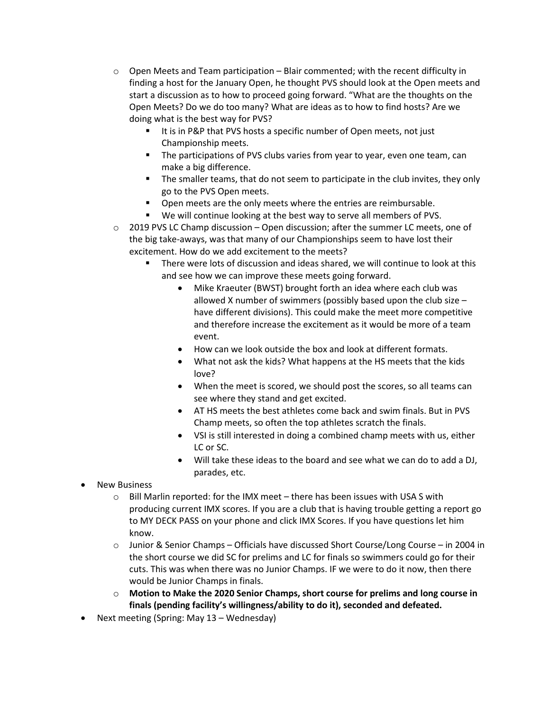- $\circ$  Open Meets and Team participation Blair commented; with the recent difficulty in finding a host for the January Open, he thought PVS should look at the Open meets and start a discussion as to how to proceed going forward. "What are the thoughts on the Open Meets? Do we do too many? What are ideas as to how to find hosts? Are we doing what is the best way for PVS?
	- It is in P&P that PVS hosts a specific number of Open meets, not just Championship meets.
	- The participations of PVS clubs varies from year to year, even one team, can make a big difference.
	- The smaller teams, that do not seem to participate in the club invites, they only go to the PVS Open meets.
	- **•** Open meets are the only meets where the entries are reimbursable.
	- We will continue looking at the best way to serve all members of PVS.
- $\circ$  2019 PVS LC Champ discussion Open discussion; after the summer LC meets, one of the big take-aways, was that many of our Championships seem to have lost their excitement. How do we add excitement to the meets?
	- There were lots of discussion and ideas shared, we will continue to look at this and see how we can improve these meets going forward.
		- Mike Kraeuter (BWST) brought forth an idea where each club was allowed X number of swimmers (possibly based upon the club size – have different divisions). This could make the meet more competitive and therefore increase the excitement as it would be more of a team event.
		- How can we look outside the box and look at different formats.
		- What not ask the kids? What happens at the HS meets that the kids love?
		- When the meet is scored, we should post the scores, so all teams can see where they stand and get excited.
		- AT HS meets the best athletes come back and swim finals. But in PVS Champ meets, so often the top athletes scratch the finals.
		- VSI is still interested in doing a combined champ meets with us, either LC or SC.
		- Will take these ideas to the board and see what we can do to add a DJ, parades, etc.
- New Business
	- $\circ$  Bill Marlin reported: for the IMX meet there has been issues with USA S with producing current IMX scores. If you are a club that is having trouble getting a report go to MY DECK PASS on your phone and click IMX Scores. If you have questions let him know.
	- o Junior & Senior Champs Officials have discussed Short Course/Long Course in 2004 in the short course we did SC for prelims and LC for finals so swimmers could go for their cuts. This was when there was no Junior Champs. IF we were to do it now, then there would be Junior Champs in finals.
	- o **Motion to Make the 2020 Senior Champs, short course for prelims and long course in finals (pending facility's willingness/ability to do it), seconded and defeated.**
- Next meeting (Spring: May 13 Wednesday)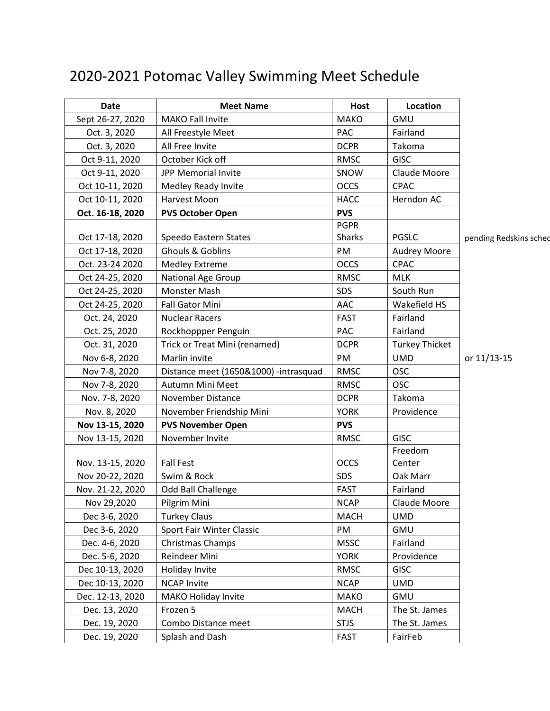## 2020-2021 Potomac Valley Swimming Meet Schedule

| <b>Date</b>      | <b>Meet Name</b>                      | <b>Host</b>   | Location              |                        |
|------------------|---------------------------------------|---------------|-----------------------|------------------------|
| Sept 26-27, 2020 | <b>MAKO Fall Invite</b>               | <b>MAKO</b>   | GMU                   |                        |
| Oct. 3, 2020     | All Freestyle Meet                    | <b>PAC</b>    | Fairland              |                        |
| Oct. 3, 2020     | All Free Invite                       | <b>DCPR</b>   | Takoma                |                        |
| Oct 9-11, 2020   | October Kick off                      | <b>RMSC</b>   | <b>GISC</b>           |                        |
| Oct 9-11, 2020   | JPP Memorial Invite                   | SNOW          | Claude Moore          |                        |
| Oct 10-11, 2020  | Medley Ready Invite                   | <b>OCCS</b>   | <b>CPAC</b>           |                        |
| Oct 10-11, 2020  | Harvest Moon                          | <b>HACC</b>   | Herndon AC            |                        |
| Oct. 16-18, 2020 | <b>PVS October Open</b>               | <b>PVS</b>    |                       |                        |
|                  |                                       | <b>PGPR</b>   |                       |                        |
| Oct 17-18, 2020  | Speedo Eastern States                 | <b>Sharks</b> | <b>PGSLC</b>          | pending Redskins sched |
| Oct 17-18, 2020  | Ghouls & Goblins                      | PM            | <b>Audrey Moore</b>   |                        |
| Oct. 23-24 2020  | <b>Medley Extreme</b>                 | <b>OCCS</b>   | <b>CPAC</b>           |                        |
| Oct 24-25, 2020  | <b>National Age Group</b>             | <b>RMSC</b>   | <b>MLK</b>            |                        |
| Oct 24-25, 2020  | Monster Mash                          | <b>SDS</b>    | South Run             |                        |
| Oct 24-25, 2020  | <b>Fall Gator Mini</b>                | AAC           | Wakefield HS          |                        |
| Oct. 24, 2020    | <b>Nuclear Racers</b>                 | <b>FAST</b>   | Fairland              |                        |
| Oct. 25, 2020    | Rockhoppper Penguin                   | PAC           | Fairland              |                        |
| Oct. 31, 2020    | Trick or Treat Mini (renamed)         | <b>DCPR</b>   | <b>Turkey Thicket</b> |                        |
| Nov 6-8, 2020    | Marlin invite                         | PM            | <b>UMD</b>            | or 11/13-15            |
| Nov 7-8, 2020    | Distance meet (1650&1000) -intrasquad | <b>RMSC</b>   | <b>OSC</b>            |                        |
| Nov 7-8, 2020    | Autumn Mini Meet                      | <b>RMSC</b>   | <b>OSC</b>            |                        |
| Nov. 7-8, 2020   | <b>November Distance</b>              | <b>DCPR</b>   | Takoma                |                        |
| Nov. 8, 2020     | November Friendship Mini              | <b>YORK</b>   | Providence            |                        |
| Nov 13-15, 2020  | <b>PVS November Open</b>              | <b>PVS</b>    |                       |                        |
| Nov 13-15, 2020  | November Invite                       | <b>RMSC</b>   | <b>GISC</b>           |                        |
|                  |                                       |               | Freedom               |                        |
| Nov. 13-15, 2020 | <b>Fall Fest</b>                      | <b>OCCS</b>   | Center                |                        |
| Nov 20-22, 2020  | Swim & Rock                           | SDS           | Oak Marr              |                        |
| Nov. 21-22, 2020 | Odd Ball Challenge                    | <b>FAST</b>   | Fairland              |                        |
| Nov 29,2020      | Pilgrim Mini                          | <b>NCAP</b>   | Claude Moore          |                        |
| Dec 3-6, 2020    | <b>Turkey Claus</b>                   | <b>MACH</b>   | <b>UMD</b>            |                        |
| Dec 3-6, 2020    | Sport Fair Winter Classic             | PM            | <b>GMU</b>            |                        |
| Dec. 4-6, 2020   | Christmas Champs                      | <b>MSSC</b>   | Fairland              |                        |
| Dec. 5-6, 2020   | Reindeer Mini                         | <b>YORK</b>   | Providence            |                        |
| Dec 10-13, 2020  | Holiday Invite                        | RMSC          | <b>GISC</b>           |                        |
| Dec 10-13, 2020  | <b>NCAP Invite</b>                    | <b>NCAP</b>   | <b>UMD</b>            |                        |
| Dec. 12-13, 2020 | <b>MAKO Holiday Invite</b>            | <b>MAKO</b>   | <b>GMU</b>            |                        |
| Dec. 13, 2020    | Frozen 5                              | <b>MACH</b>   | The St. James         |                        |
| Dec. 19, 2020    | Combo Distance meet                   | <b>STJS</b>   | The St. James         |                        |
| Dec. 19, 2020    | Splash and Dash                       | <b>FAST</b>   | FairFeb               |                        |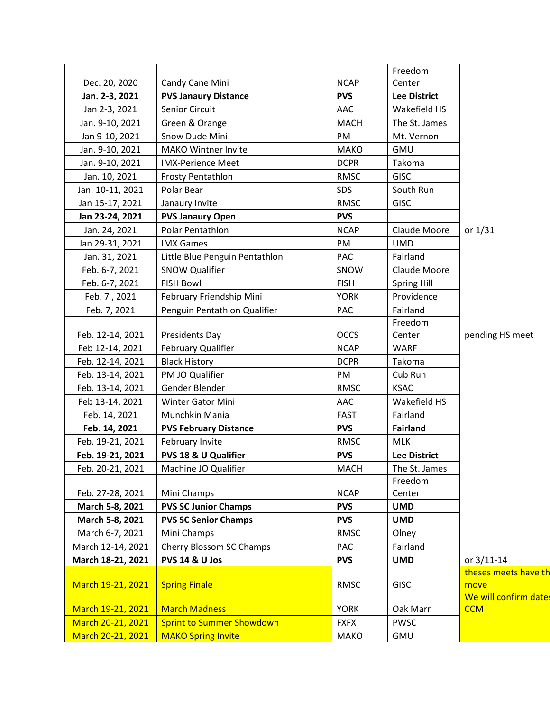|                   |                                  |             | Freedom             |                       |
|-------------------|----------------------------------|-------------|---------------------|-----------------------|
| Dec. 20, 2020     | Candy Cane Mini                  | <b>NCAP</b> | Center              |                       |
| Jan. 2-3, 2021    | <b>PVS Janaury Distance</b>      | <b>PVS</b>  | <b>Lee District</b> |                       |
| Jan 2-3, 2021     | Senior Circuit                   | AAC         | Wakefield HS        |                       |
| Jan. 9-10, 2021   | Green & Orange                   | <b>MACH</b> | The St. James       |                       |
| Jan 9-10, 2021    | Snow Dude Mini                   | PM          | Mt. Vernon          |                       |
| Jan. 9-10, 2021   | <b>MAKO Wintner Invite</b>       | <b>MAKO</b> | <b>GMU</b>          |                       |
| Jan. 9-10, 2021   | <b>IMX-Perience Meet</b>         | <b>DCPR</b> | Takoma              |                       |
| Jan. 10, 2021     | <b>Frosty Pentathlon</b>         | <b>RMSC</b> | <b>GISC</b>         |                       |
| Jan. 10-11, 2021  | Polar Bear                       | <b>SDS</b>  | South Run           |                       |
| Jan 15-17, 2021   | Janaury Invite                   | <b>RMSC</b> | <b>GISC</b>         |                       |
| Jan 23-24, 2021   | <b>PVS Janaury Open</b>          | <b>PVS</b>  |                     |                       |
| Jan. 24, 2021     | Polar Pentathlon                 | <b>NCAP</b> | Claude Moore        | or $1/31$             |
| Jan 29-31, 2021   | <b>IMX Games</b>                 | PM          | <b>UMD</b>          |                       |
| Jan. 31, 2021     | Little Blue Penguin Pentathlon   | <b>PAC</b>  | Fairland            |                       |
| Feb. 6-7, 2021    | <b>SNOW Qualifier</b>            | SNOW        | Claude Moore        |                       |
| Feb. 6-7, 2021    | <b>FISH Bowl</b>                 | <b>FISH</b> | Spring Hill         |                       |
| Feb. 7, 2021      | February Friendship Mini         | <b>YORK</b> | Providence          |                       |
| Feb. 7, 2021      | Penguin Pentathlon Qualifier     | PAC         | Fairland            |                       |
|                   |                                  |             | Freedom             |                       |
| Feb. 12-14, 2021  | <b>Presidents Day</b>            | <b>OCCS</b> | Center              | pending HS meet       |
| Feb 12-14, 2021   | February Qualifier               | <b>NCAP</b> | <b>WARF</b>         |                       |
| Feb. 12-14, 2021  | <b>Black History</b>             | <b>DCPR</b> | Takoma              |                       |
| Feb. 13-14, 2021  | PM JO Qualifier                  | PM          | Cub Run             |                       |
| Feb. 13-14, 2021  | Gender Blender                   | <b>RMSC</b> | <b>KSAC</b>         |                       |
| Feb 13-14, 2021   | Winter Gator Mini                | AAC         | Wakefield HS        |                       |
| Feb. 14, 2021     | Munchkin Mania                   | <b>FAST</b> | Fairland            |                       |
| Feb. 14, 2021     | <b>PVS February Distance</b>     | <b>PVS</b>  | <b>Fairland</b>     |                       |
| Feb. 19-21, 2021  | February Invite                  | <b>RMSC</b> | <b>MLK</b>          |                       |
| Feb. 19-21, 2021  | PVS 18 & U Qualifier             | <b>PVS</b>  | <b>Lee District</b> |                       |
| Feb. 20-21, 2021  | Machine JO Qualifier             | MACH        | The St. James       |                       |
|                   |                                  |             | Freedom             |                       |
| Feb. 27-28, 2021  | Mini Champs                      | <b>NCAP</b> | Center              |                       |
| March 5-8, 2021   | <b>PVS SC Junior Champs</b>      | <b>PVS</b>  | <b>UMD</b>          |                       |
| March 5-8, 2021   | <b>PVS SC Senior Champs</b>      | <b>PVS</b>  | <b>UMD</b>          |                       |
| March 6-7, 2021   | Mini Champs                      | <b>RMSC</b> | Olney               |                       |
| March 12-14, 2021 | Cherry Blossom SC Champs         | PAC         | Fairland            |                       |
| March 18-21, 2021 | <b>PVS 14 &amp; U Jos</b>        | <b>PVS</b>  | <b>UMD</b>          | or 3/11-14            |
|                   |                                  |             |                     | theses meets have th  |
| March 19-21, 2021 | <b>Spring Finale</b>             | <b>RMSC</b> | <b>GISC</b>         | move                  |
|                   |                                  |             |                     | We will confirm date: |
| March 19-21, 2021 | <b>March Madness</b>             | <b>YORK</b> | Oak Marr            | <b>CCM</b>            |
| March 20-21, 2021 | <b>Sprint to Summer Showdown</b> | <b>FXFX</b> | <b>PWSC</b>         |                       |
| March 20-21, 2021 | <b>MAKO Spring Invite</b>        | <b>MAKO</b> | GMU                 |                       |